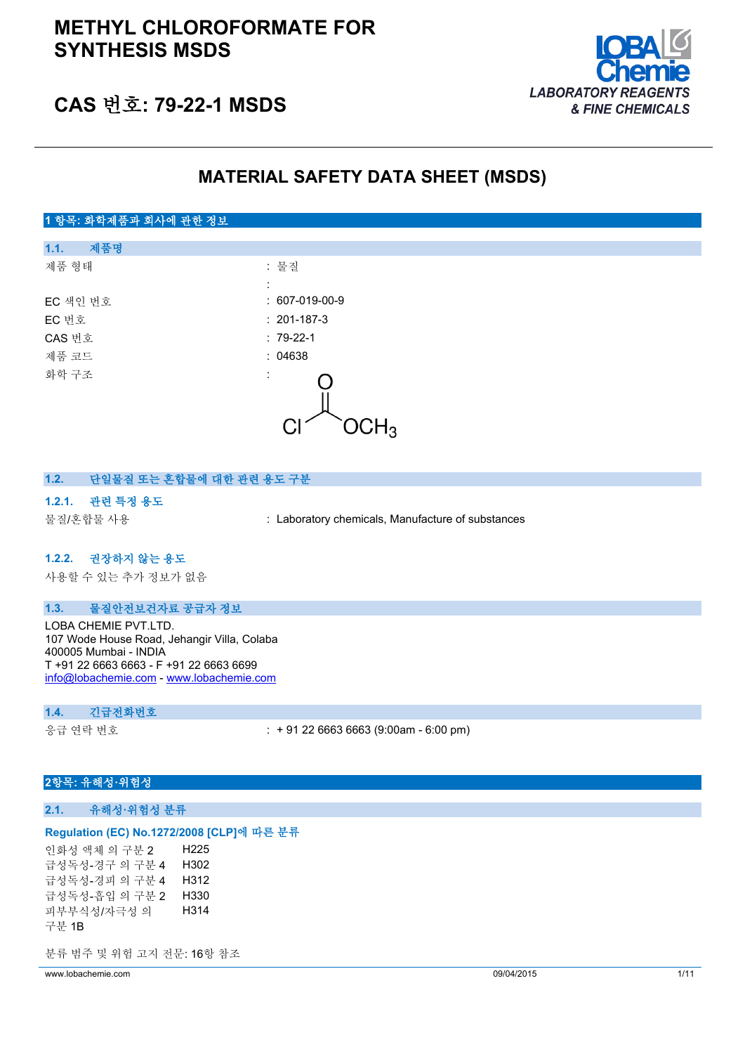

# **CAS 번호: 79-22-1 MSDS**

# **MATERIAL SAFETY DATA SHEET (MSDS)**

### **1 항목: 화학제품과 회사에 관한 정보**

| 제품명<br>1.1. |                      |  |
|-------------|----------------------|--|
| 제품 형태       | : 물질                 |  |
|             | ÷                    |  |
| EC 색인 번호    | $: 607-019-00-9$     |  |
| EC 번호       | $: 201-187-3$        |  |
| CAS 번호      | $: 79-22-1$          |  |
| 제품 코드       | : 04638              |  |
| 화학 구조       | ÷<br>,Н <sub>3</sub> |  |
|             |                      |  |

### **1.2. 단일물질 또는 혼합물에 대한 관련 용도 구분**

#### **1.2.1. 관련 특정 용도**

물질/혼합물 사용 : Laboratory chemicals, Manufacture of substances

#### **1.2.2. 권장하지 않는 용도**

사용할 수 있는 추가 정보가 없음

### **1.3. 물질안전보건자료 공급자 정보**

LOBA CHEMIE PVT.LTD. 107 Wode House Road, Jehangir Villa, Colaba 400005 Mumbai - INDIA T +91 22 6663 6663 - F +91 22 6663 6699 [info@lobachemie.com](mailto:info@lobachemie.com) - <www.lobachemie.com>

#### **1.4. 긴급전화번호**

응급 연락 번호 : + 91 22 6663 6663 (9:00am - 6:00 pm)

### **2항목: 유해성·위험성**

#### **2.1. 유해성·위험성 분류**

#### **Regulation (EC) No.1272/2008 [CLP]에 따른 분류**

인화성 액체 의 구분 2 H225 급성독성-경구 의 구분 4 H302 급성독성-경피 의 구분 4 H312 급성독성-흡입 의 구분 2 H330 피부부식성/자극성 의 구분 1B H314

분류 범주 및 위험 고지 전문: 16항 참조

www.lobachemie.com 09/04/2015 1/11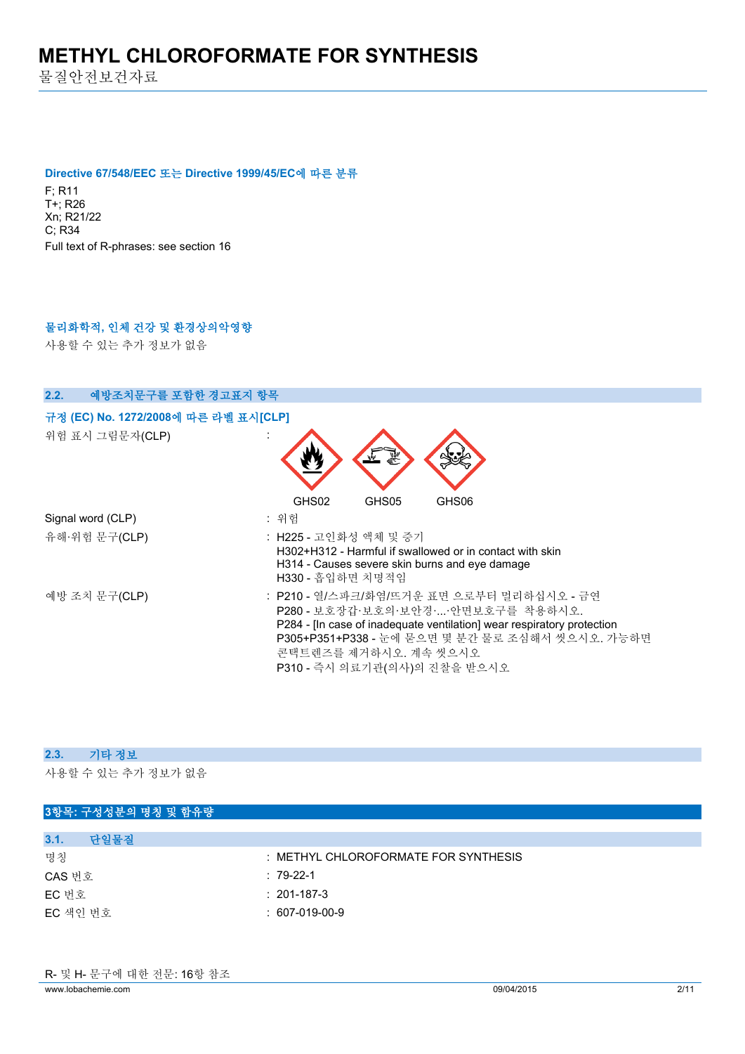물질안전보건자료

#### **Directive 67/548/EEC 또는 Directive 1999/45/EC에 따른 분류**

F; R11 T+; R26 Xn; R21/22 C; R34 Full text of R-phrases: see section 16

# **물리화학적, 인체 건강 및 환경상의악영향**

사용할 수 있는 추가 정보가 없음

| 2.2.<br>예방조치문구를 포함한 경고표지 항목                             |                                                                                                                                                                                                                                                                       |
|---------------------------------------------------------|-----------------------------------------------------------------------------------------------------------------------------------------------------------------------------------------------------------------------------------------------------------------------|
| 규정 (EC) No. 1272/2008에 따른 라벨 표시[CLP]<br>위험 표시 그림문자(CLP) |                                                                                                                                                                                                                                                                       |
| Signal word (CLP)                                       | GHS02<br>GHS05<br>GHS06<br>: 위험                                                                                                                                                                                                                                       |
| 유해·위험 문구(CLP)                                           | : H225 - 고인화성 액체 및 증기<br>H302+H312 - Harmful if swallowed or in contact with skin<br>H314 - Causes severe skin burns and eye damage<br>H330 - 흡입하면 치명적임                                                                                                               |
| 예방 조치 문구(CLP)                                           | : P210 - 열/스파크/화염/뜨거운 표면 으로부터 멀리하십시오 - 금연<br>P280 - 보호장갑·보호의·보안경··안면보호구를 착용하시오.<br>P284 - [In case of inadequate ventilation] wear respiratory protection<br>P305+P351+P338 - 눈에 묻으면 몇 분간 물로 조심해서 씻으시오. 가능하면<br>콘택트렌즈를 제거하시오. 계속 씻으시오<br>P310 - 즉시 의료기관(의사)의 진찰을 받으시오 |

#### **2.3. 기타 정보**

| 3항목: 구성성분의 명칭 및 함유량 |                                      |
|---------------------|--------------------------------------|
| 단일물질<br>3.1.        |                                      |
| 명칭                  | : METHYL CHLOROFORMATE FOR SYNTHESIS |
| CAS 번호              | $: 79-22-1$                          |
| EC 번호               | $: 201 - 187 - 3$                    |
| EC 색인 번호            | $: 607-019-00-9$                     |
|                     |                                      |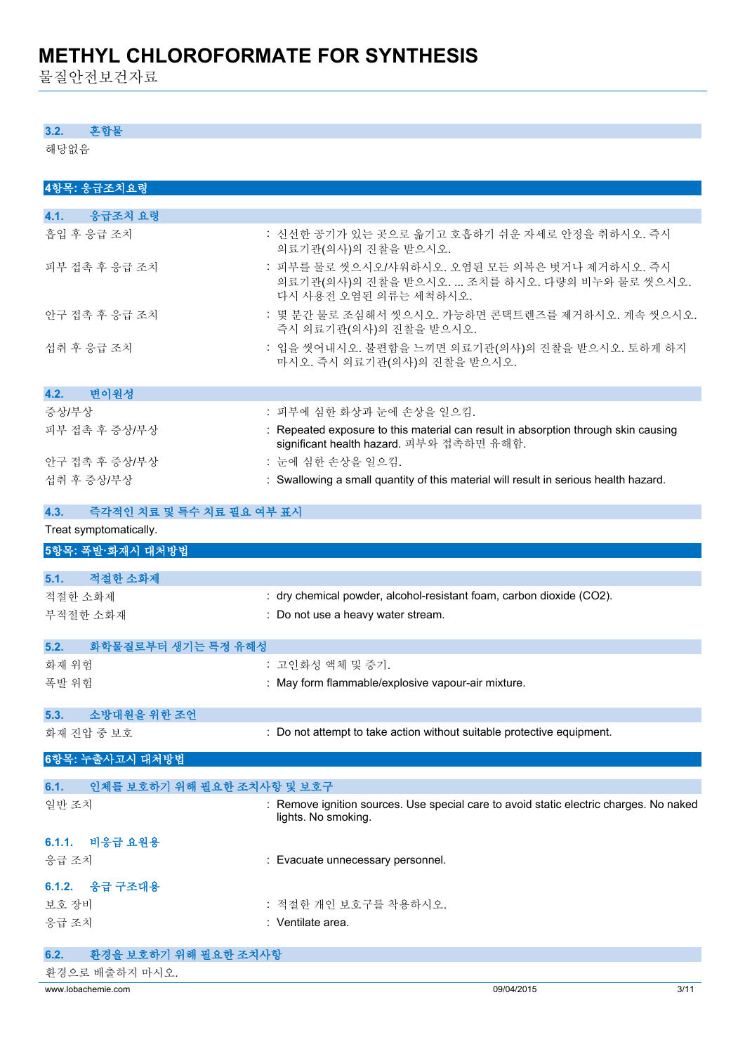물질안전보건자료

#### **3.2. 혼합물**

해당없음

| 4항목: 응급조치요령                        |                                                                                                                                |
|------------------------------------|--------------------------------------------------------------------------------------------------------------------------------|
| 4.1. 응급조치 요령                       |                                                                                                                                |
| 흡입 후 응급 조치                         | : 신선한 공기가 있는 곳으로 옮기고 호흡하기 쉬운 자세로 안정을 취하시오. 즉시<br>의료기관(의사)의 진찰을 받으시오.                                                           |
| 피부 접촉 후 응급 조치                      | : 피부를 물로 씻으시오/샤워하시오. 오염된 모든 의복은 벗거나 제거하시오. 즉시<br>의료기관(의사)의 진찰을 받으시오.  조치를 하시오. 다량의 비누와 물로 씻으시오.<br>다시 사용전 오염된 의류는 세척하시오.       |
| 안구 접촉 후 응급 조치                      | : 몇 분간 물로 조심해서 씻으시오. 가능하면 콘택트렌즈를 제거하시오. 계속 씻으시오.<br>즉시 의료기관(의사)의 진찰을 받으시오.                                                     |
| 섭취 후 응급 조치                         | : 입을 씻어내시오. 불편함을 느끼면 의료기관(의사)의 진찰을 받으시오. 토하게 하지<br>마시오. 즉시 의료기관(의사)의 진찰을 받으시오.                                                 |
| 변이원성<br>4.2.                       |                                                                                                                                |
| 증상/부상                              | : 피부에 심한 화상과 눈에 손상을 일으킴.                                                                                                       |
| 피부 접촉 후 증상/부상                      | : Repeated exposure to this material can result in absorption through skin causing<br>significant health hazard. 피부와 접촉하면 유해함. |
| 안구 접촉 후 증상/부상                      | : 눈에 심한 손상을 일으킴.                                                                                                               |
| 섭취 후 증상/부상                         | : Swallowing a small quantity of this material will result in serious health hazard.                                           |
| 즉각적인 치료 및 특수 치료 필요 여부 표시<br>4.3.   |                                                                                                                                |
| Treat symptomatically.             |                                                                                                                                |
| 5항목: 폭발·화재시 대처방법                   |                                                                                                                                |
| 적절한 소화제<br>5.1.                    |                                                                                                                                |
| 적절한 소화제                            | : dry chemical powder, alcohol-resistant foam, carbon dioxide (CO2).                                                           |
| 부적절한 소화재                           | : Do not use a heavy water stream.                                                                                             |
| 화학물질로부터 생기는 특정 유해성<br>5.2.         |                                                                                                                                |
| 화재 위험                              | : 고인화성 액체 및 증기.                                                                                                                |
| 폭발 위험                              | : May form flammable/explosive vapour-air mixture.                                                                             |
| 소방대원을 위한 조언<br>5.3.                |                                                                                                                                |
| 화재 진압 중 보호                         | : Do not attempt to take action without suitable protective equipment.                                                         |
| 6항목: 누출사고시 대처방법                    |                                                                                                                                |
| 인체를 보호하기 위해 필요한 조치사항 및 보호구<br>6.1. |                                                                                                                                |
| 일반 조치                              | : Remove ignition sources. Use special care to avoid static electric charges. No naked<br>lights. No smoking.                  |

| 6.1.1. 비응급 요원용 |                                   |
|----------------|-----------------------------------|
| 응급 조치          | : Evacuate unnecessary personnel. |

### **6.1.2. 응급 구조대용**

보호 장비 · 기준 기준 기준 기준 기준 기준 기준 가능 작용하시오. 응급 조치

| Ventilate area. |  |
|-----------------|--|
|                 |  |

| 환경을 보호하기 위해 필요한 조치사항<br>6.2. |            |      |
|------------------------------|------------|------|
| 환경으로 배출하지 마시오.               |            |      |
| www.lobachemie.com           | 09/04/2015 | 3/11 |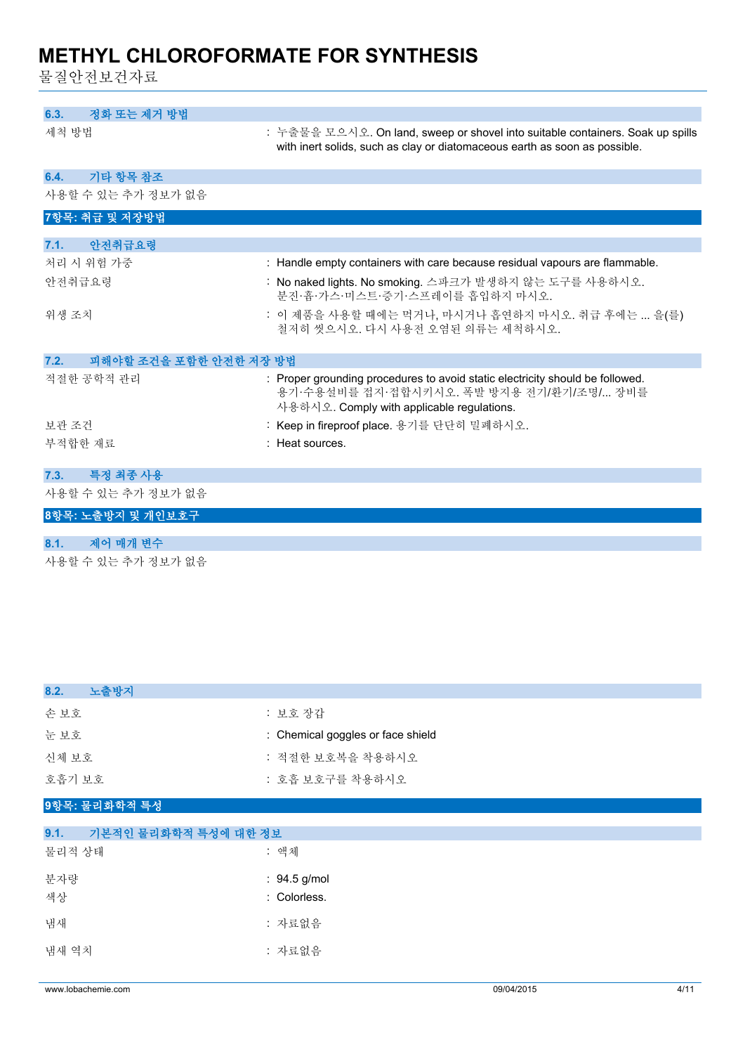물질안전보건자료

| 정화 또는 제거 방법<br>6.3.            |                                                                                                                                                                         |
|--------------------------------|-------------------------------------------------------------------------------------------------------------------------------------------------------------------------|
| 세척 방법                          | : 누출물을 모으시오. On land, sweep or shovel into suitable containers. Soak up spills<br>with inert solids, such as clay or diatomaceous earth as soon as possible.            |
| 기타 항목 참조<br>6.4.               |                                                                                                                                                                         |
| 사용할 수 있는 추가 정보가 없음             |                                                                                                                                                                         |
| 7항목: 취급 및 저장방법                 |                                                                                                                                                                         |
| 안전취급요령<br>7.1.                 |                                                                                                                                                                         |
| 처리 시 위험 가중                     | : Handle empty containers with care because residual vapours are flammable.                                                                                             |
| 안전취급요령                         | : No naked lights. No smoking. 스파크가 발생하지 않는 도구를 사용하시오.<br>분진·흄·가스·미스트·증기·스프레이를 흡입하지 마시오.                                                                                |
| 위생 조치                          | : 이 제품을 사용할 때에는 먹거나, 마시거나 흡연하지 마시오. 취급 후에는  을(를)<br>철저히 씻으시오. 다시 사용전 오염된 의류는 세척하시오.                                                                                     |
| 피해야할 조건을 포함한 안전한 저장 방법<br>7.2. |                                                                                                                                                                         |
| 적절한 공학적 관리                     | : Proper grounding procedures to avoid static electricity should be followed.<br>용기·수용설비를 접지·접합시키시오. 폭발 방지용 전기/환기/조명/ 장비를<br>사용하시오. Comply with applicable regulations. |
| 보관 조건                          | : Keep in fireproof place. 용기를 단단히 밀폐하시오.                                                                                                                               |
| 부적합한 재료                        | : Heat sources.                                                                                                                                                         |
|                                |                                                                                                                                                                         |
| 특정 최종 사용<br>7.3.               |                                                                                                                                                                         |
| 사용할 수 있는 추가 정보가 없음             |                                                                                                                                                                         |
| 8항목: 노출방지 및 개인보호구              |                                                                                                                                                                         |
|                                |                                                                                                                                                                         |

# **8.1. 제어 매개 변수**

| 8.2.<br>노출방지                 |                                   |
|------------------------------|-----------------------------------|
| 손보호                          | : 보호 장갑                           |
| 눈보호                          | : Chemical goggles or face shield |
| 신체 보호                        | : 적절한 보호복을 착용하시오                  |
| 호흡기 보호                       | : 호흡 보호구를 착용하시오                   |
| 9항목: 물리화학적 특성                |                                   |
| 9.1.<br>기본적인 물리화학적 특성에 대한 정보 |                                   |
| 물리적 상태                       | : 액체                              |
| 분자량                          | : 94.5 g/mol                      |
| 색상                           | : Colorless.                      |
| 냄새                           | : 자료없음                            |
| 냄새 역치                        | : 자료없음                            |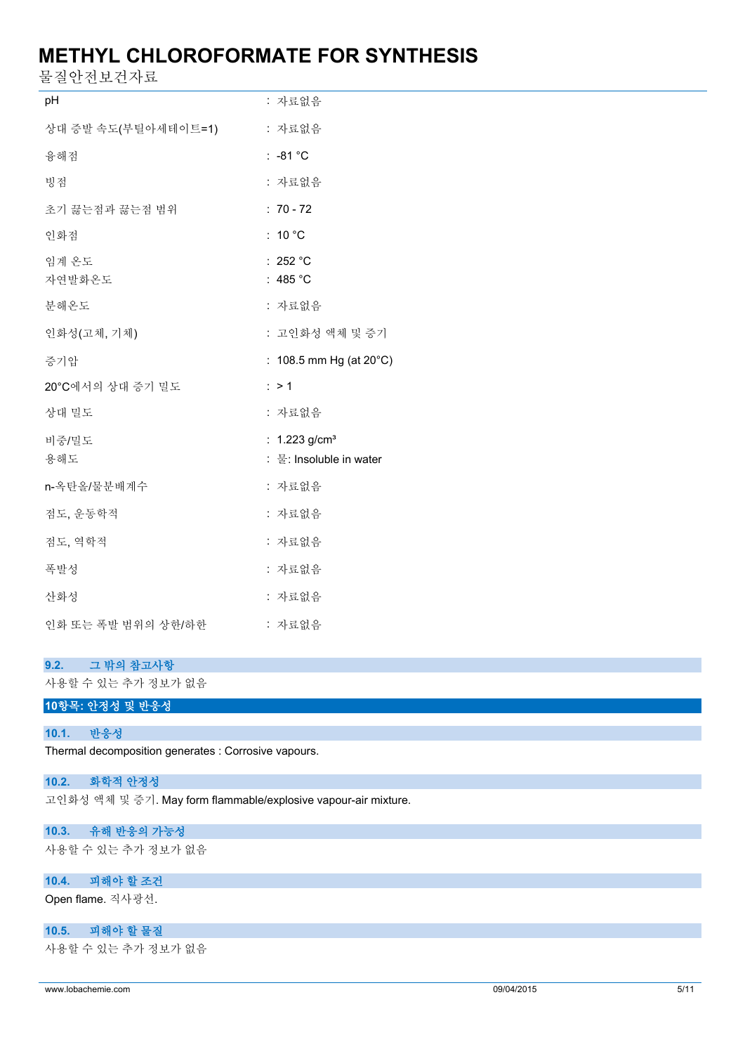물질안전보건자료

| pH                  | : 자료없음                                                 |
|---------------------|--------------------------------------------------------|
| 상대 증발 속도(부틸아세테이트=1) | : 자료없음                                                 |
| 융해점                 | $: -81 °C$                                             |
| 빙점                  | : 자료없음                                                 |
| 초기 끓는점과 끓는점 범위      | $: 70 - 72$                                            |
| 인화점                 | : $10^{\circ}$ C                                       |
| 임계 온도<br>자연발화온도     | : 252 °C<br>: 485 $^{\circ}$ C                         |
| 분해온도                | : 자료없음                                                 |
| 인화성(고체, 기체)         | : 고인화성 액체 및 증기                                         |
| 증기압                 | : $108.5$ mm Hg (at $20^{\circ}$ C)                    |
| 20°C에서의 상대 증기 밀도    | : > 1                                                  |
| 상대 밀도               | : 자료없음                                                 |
| 비중/밀도<br>용해도        | : $1.223$ g/cm <sup>3</sup><br>: 물: Insoluble in water |
| n-옥탄올/물분배계수         | : 자료없음                                                 |
| 점도, 운동학적            | : 자료없음                                                 |
| 점도, 역학적             | : 자료없음                                                 |
| 폭발성                 | : 자료없음                                                 |
| 산화성                 | : 자료없음                                                 |
| 인화 또는 폭발 범위의 상한/하한  | : 자료없음                                                 |

#### **9.2. 그 밖의 참고사항**

사용할 수 있는 추가 정보가 없음

### **10항목: 안정성 및 반응성**

**10.1. 반응성**

Thermal decomposition generates : Corrosive vapours.

#### **10.2. 화학적 안정성**

고인화성 액체 및 증기. May form flammable/explosive vapour-air mixture.

#### **10.3. 유해 반응의 가능성**

사용할 수 있는 추가 정보가 없음

# **10.4. 피해야 할 조건**

Open flame. 직사광선.

### **10.5. 피해야 할 물질**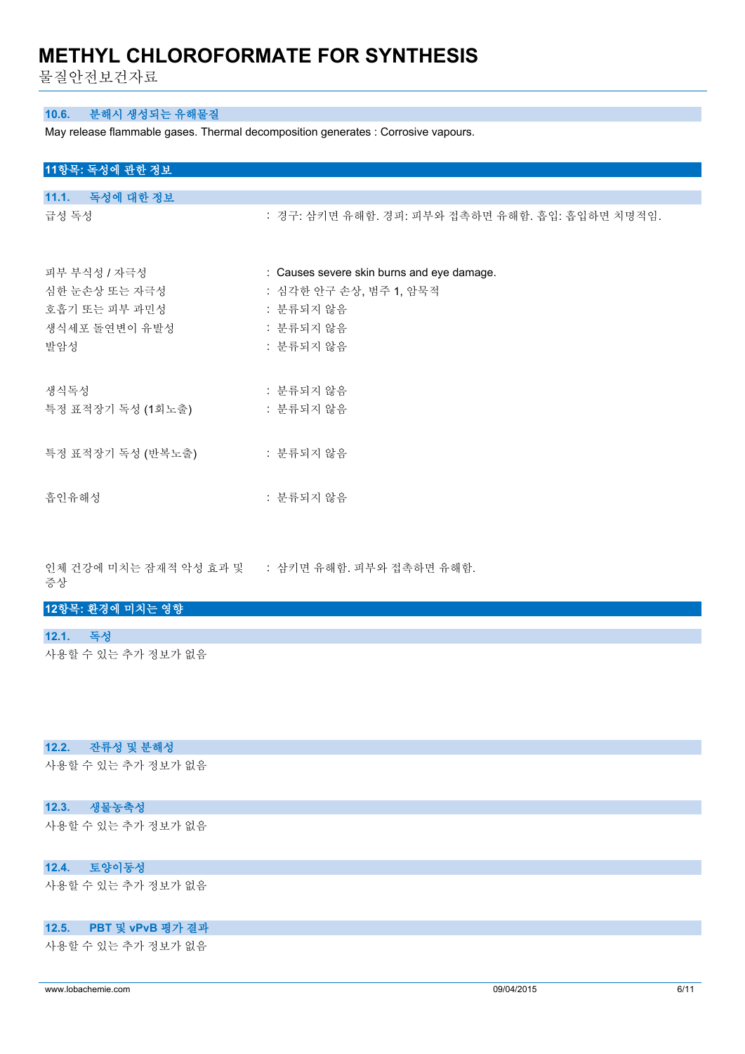물질안전보건자료

#### **10.6. 분해시 생성되는 유해물질**

May release flammable gases. Thermal decomposition generates : Corrosive vapours.

| 11항목: 독성에 관한 정보 |  |
|-----------------|--|
|-----------------|--|

| 11.1. 독성에 대한 정보   |                                                 |
|-------------------|-------------------------------------------------|
| 급성 독성             | : 경구: 삼키면 유해함. 경피: 피부와 접촉하면 유해함. 흡입: 흡입하면 치명적임. |
| 피부 부식성 / 자극성      | : Causes severe skin burns and eye damage.      |
| 심한 눈손상 또는 자극성     | : 심각한 안구 손상, 범주 1, 암묵적                          |
| 호흡기 또는 피부 과민성     | : 분류되지 않음                                       |
| 생식세포 돌연변이 유발성     | : 분류되지 않음                                       |
| 발암성               | : 분류되지 않음                                       |
| 생식독성              | : 분류되지 않음                                       |
| 특정 표적장기 독성 (1회노출) | : 분류되지 않음                                       |
|                   |                                                 |
| 흡인유해성             | : 분류되지 않음                                       |

인체 건강에 미치는 잠재적 악성 효과 및 증상 : 삼키면 유해함. 피부와 접촉하면 유해함.

**12항목: 환경에 미치는 영향**

**12.1. 독성**

사용할 수 있는 추가 정보가 없음

#### **12.2. 잔류성 및 분해성**

사용할 수 있는 추가 정보가 없음

### **12.3. 생물농축성**

사용할 수 있는 추가 정보가 없음

#### **12.4. 토양이동성**

사용할 수 있는 추가 정보가 없음

#### **12.5. PBT 및 vPvB 평가 결과**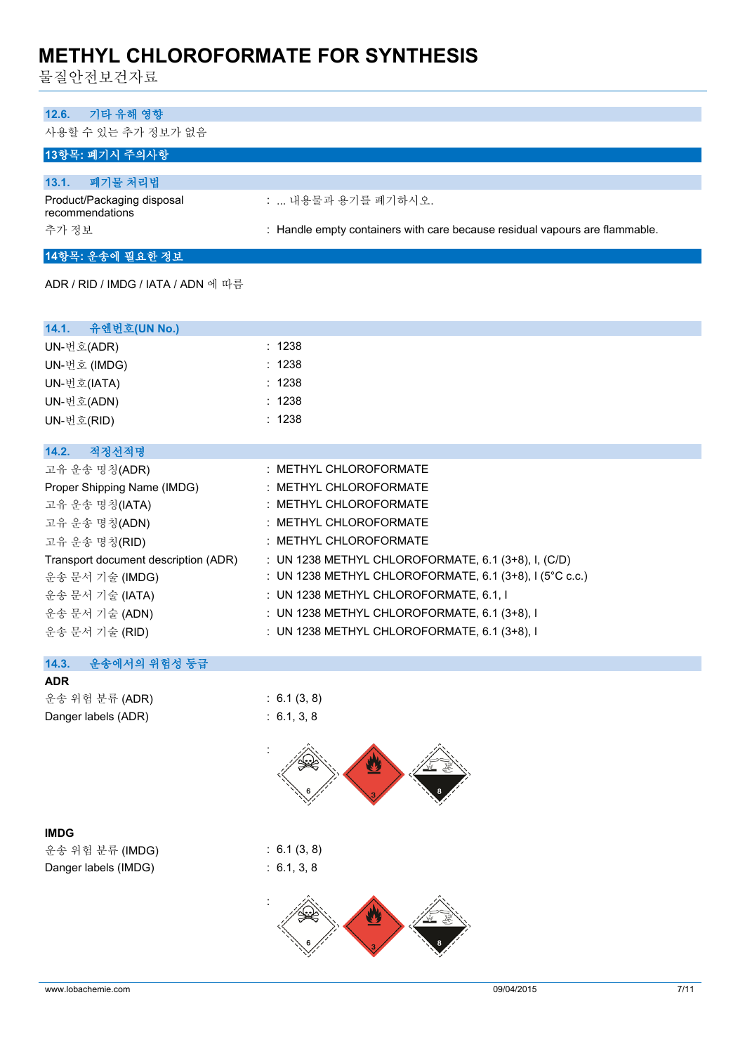물질안전보건자료

# **12.6. 기타 유해 영향**

사용할 수 있는 추가 정보가 없음

### **13항목: 폐기시 주의사항**

| 폐기물 처리법<br>13.1.                              |                                                                             |
|-----------------------------------------------|-----------------------------------------------------------------------------|
| Product/Packaging disposal<br>recommendations | :  내용물과 용기를 폐기하시오.                                                          |
| 추가 정보                                         | : Handle empty containers with care because residual vapours are flammable. |

# **14항목: 운송에 필요한 정보**

ADR / RID / IMDG / IATA / ADN 에 따름

| 14.1. 유엔번호(UN No.)                   |                                                                      |
|--------------------------------------|----------------------------------------------------------------------|
| UN-번호(ADR)                           | : 1238                                                               |
| UN-번호 (IMDG)                         | : 1238                                                               |
| UN-번호(IATA)                          | : 1238                                                               |
| UN-번호(ADN)                           | : 1238                                                               |
| UN-번호(RID)                           | : 1238                                                               |
|                                      |                                                                      |
| 적정선적명<br>14.2.                       |                                                                      |
| 고유 운송 명칭(ADR)                        | : METHYL CHLOROFORMATE                                               |
| Proper Shipping Name (IMDG)          | : METHYL CHLOROFORMATE                                               |
| 고유 운송 명칭(IATA)                       | : METHYL CHLOROFORMATE                                               |
| 고유 운송 명칭(ADN)                        | : METHYL CHLOROFORMATE                                               |
| 고유 운송 명칭(RID)                        | : METHYL CHLOROFORMATE                                               |
| Transport document description (ADR) | : UN 1238 METHYL CHLOROFORMATE, 6.1 (3+8), I, (C/D)                  |
| 운송 문서 기술 (IMDG)                      | : UN 1238 METHYL CHLOROFORMATE, 6.1 $(3+8)$ , I $(5^{\circ}$ C c.c.) |
| 운송 문서 기술 (IATA)                      | : UN 1238 METHYL CHLOROFORMATE, 6.1, I                               |
| 운송 문서 기술 (ADN)                       | : UN 1238 METHYL CHLOROFORMATE, $6.1$ (3+8), I                       |
| 운송 문서 기술 (RID)                       | : UN 1238 METHYL CHLOROFORMATE, 6.1 (3+8), I                         |
|                                      |                                                                      |

### **14.3. 운송에서의 위험성 등급**

| ADR                 |
|---------------------|
| 운송 위험 분류 (ADR)      |
| Danger labels (ADR) |
|                     |
|                     |



 $: 6.1 (3, 8)$  $\therefore$  6.1, 3, 8

:

### **IMDG**

운송 위험 분류 (IMDG) : 6.1 (3, 8) Danger labels (IMDG) : 6.1, 3, 8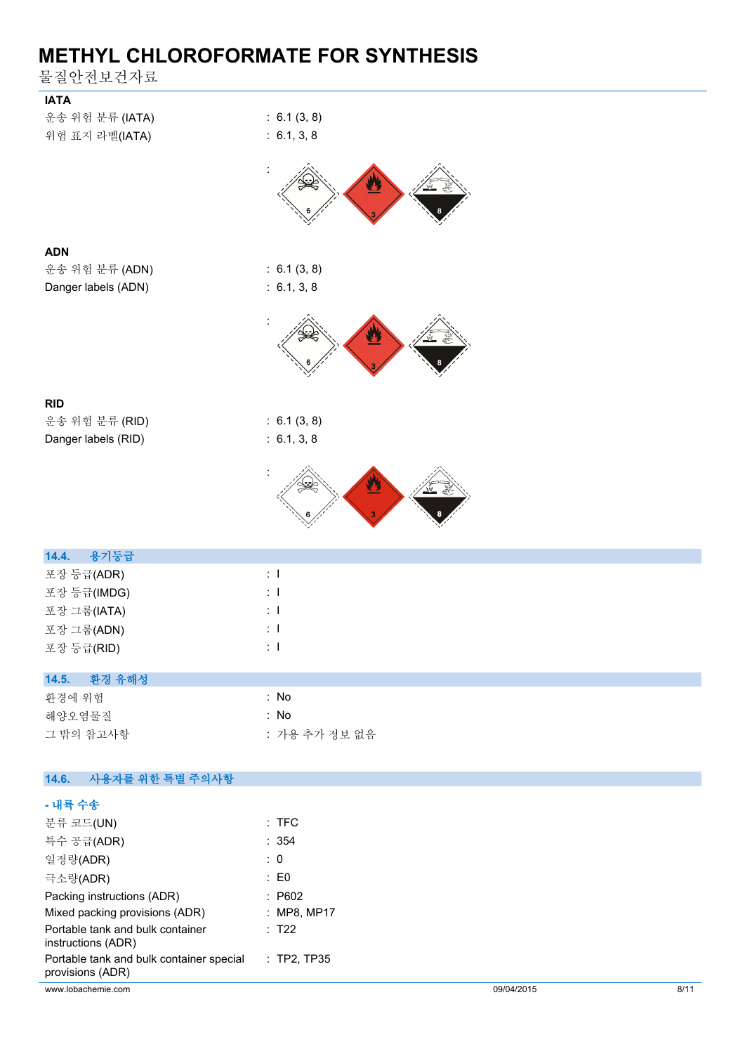물질안전보건자료

| <b>IATA</b>                                                  |                            |
|--------------------------------------------------------------|----------------------------|
| 운송 위험 분류 (IATA)<br>위험 표지 라벨(IATA)                            | : 6.1(3, 8)<br>: 6.1, 3, 8 |
|                                                              |                            |
|                                                              |                            |
| <b>ADN</b>                                                   |                            |
| 운송 위험 분류 (ADN)                                               | : 6.1(3, 8)                |
| Danger labels (ADN)                                          | : 6.1, 3, 8                |
|                                                              |                            |
|                                                              |                            |
| <b>RID</b>                                                   |                            |
| 운송 위험 분류 (RID)                                               | : 6.1(3, 8)                |
| Danger labels (RID)                                          | : 6.1, 3, 8                |
|                                                              |                            |
| 용기등급<br>14.4.                                                |                            |
| 포장 등급(ADR)                                                   | $\pm$ 1                    |
| 포장 등급(IMDG)                                                  | $\pm$ 1                    |
| 포장 그룹(IATA)                                                  | $\pm$ 1                    |
| 포장 그룹(ADN)                                                   | $\pm$ 1<br>$\pm$ 1         |
| 포장 등급(RID)                                                   |                            |
| 환경 유해성<br>14.5.                                              |                            |
| 환경에 위험                                                       | : No                       |
| 해양오염물질<br>그 밖의 참고사항                                          | : No<br>: 가용 추가 정보 없음      |
|                                                              |                            |
| 14.6.<br>사용자를 위한 특별 주의사항                                     |                            |
| - 내륙 수송                                                      |                            |
| 분류 코드(UN)                                                    | $:$ TFC                    |
| 특수 공급(ADR)                                                   | : 354                      |
| 일정량(ADR)                                                     | $\therefore$ 0             |
| 극소량(ADR)                                                     | $\colon$ EO                |
| Packing instructions (ADR)<br>Mixed packing provisions (ADR) | : P602<br>: MP8, MP17      |

: T22

: TP2, TP35

Portable tank and bulk container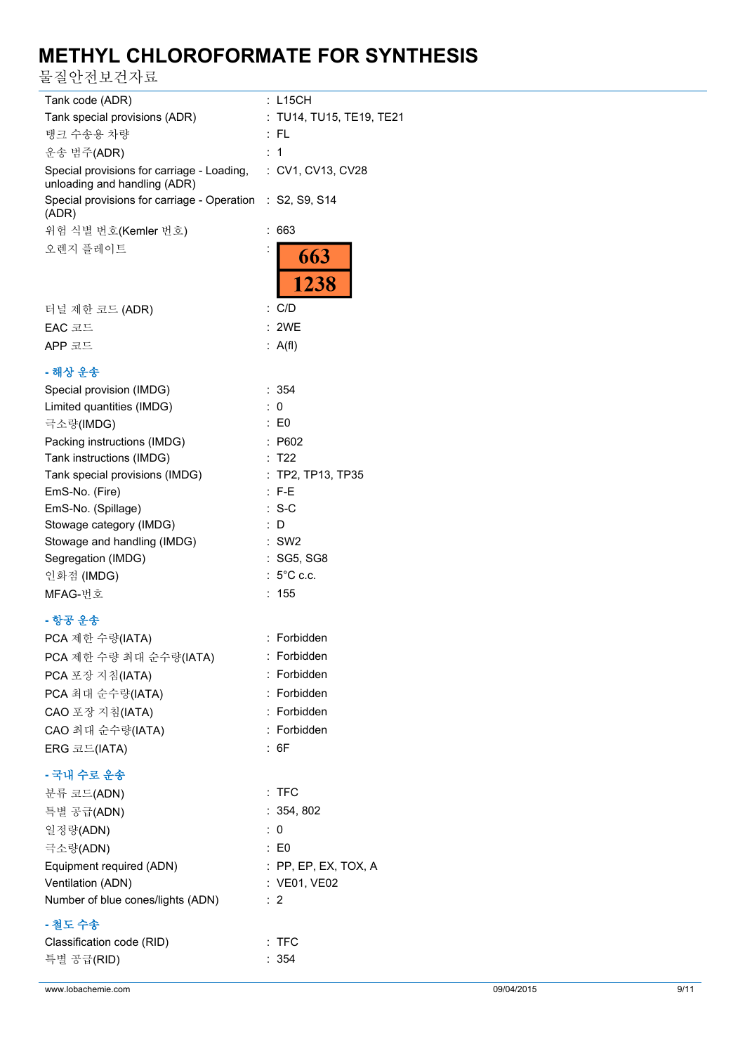물질안전보건자료

| Tank code (ADR)                                                                              | : L15CH                  |
|----------------------------------------------------------------------------------------------|--------------------------|
| Tank special provisions (ADR)                                                                | : TU14, TU15, TE19, TE21 |
| 탱크 수송용 차량                                                                                    | : FL                     |
| 운송 범주(ADR)                                                                                   | :1                       |
| Special provisions for carriage - Loading, : CV1, CV13, CV28<br>unloading and handling (ADR) |                          |
| Special provisions for carriage - Operation : S2, S9, S14<br>(ADR)                           |                          |
| 위험 식별 번호(Kemler 번호)                                                                          | : 663                    |
| 오렌지 플레이트                                                                                     | 663<br>1238              |
|                                                                                              | : C/D                    |
| 터널 제한 코드 (ADR)                                                                               |                          |
| EAC 코드                                                                                       | : 2WE                    |
| APP 코드                                                                                       | : $A(f)$                 |
| - 해상 운송                                                                                      |                          |
| Special provision (IMDG)                                                                     | : 354                    |
| Limited quantities (IMDG)                                                                    | 0                        |
| 극소량(IMDG)                                                                                    | : E0                     |
| Packing instructions (IMDG)                                                                  | P602                     |
| Tank instructions (IMDG)                                                                     | T22                      |
| Tank special provisions (IMDG)                                                               | TP2, TP13, TP35          |
| EmS-No. (Fire)                                                                               | : F-E                    |
| EmS-No. (Spillage)                                                                           | $: S-C$                  |
| Stowage category (IMDG)                                                                      | : D                      |
| Stowage and handling (IMDG)                                                                  | $:$ SW2                  |
| Segregation (IMDG)                                                                           | : SG5, SG8               |
| 인화점 (IMDG)                                                                                   | $: 5^{\circ}$ C c.c.     |
| MFAG-번호                                                                                      | : 155                    |
| - 항공 운송                                                                                      |                          |
| PCA 제한 수량(IATA)                                                                              | : Forbidden              |
| PCA 제한 수량 최대 순수량(IATA)                                                                       | : Forbidden              |
| PCA 포장 지침(IATA)                                                                              | : Forbidden              |
| PCA 최대 순수량(IATA)                                                                             | : Forbidden              |
| CAO 포장 지침(IATA)                                                                              | : Forbidden              |
| CAO 최대 순수량(IATA)                                                                             | : Forbidden              |
| ERG 코드(IATA)                                                                                 | : 6F                     |
| - 국내 수로 운송                                                                                   |                          |
| 분류 코드(ADN)                                                                                   | $:$ TFC                  |
|                                                                                              | : 354, 802               |
| 특별 공급(ADN)                                                                                   |                          |
| 일정량(ADN)                                                                                     | : 0                      |
| 극소량(ADN)                                                                                     | $\therefore$ EO          |
| Equipment required (ADN)                                                                     | $:$ PP, EP, EX, TOX, A   |
| Ventilation (ADN)                                                                            | : VE01, VE02             |
| Number of blue cones/lights (ADN)                                                            | :2                       |
| - 철도 수송                                                                                      |                          |
| Classification code (RID)                                                                    | $:$ TFC                  |
| 특별 공급(RID)                                                                                   | : 354                    |
|                                                                                              |                          |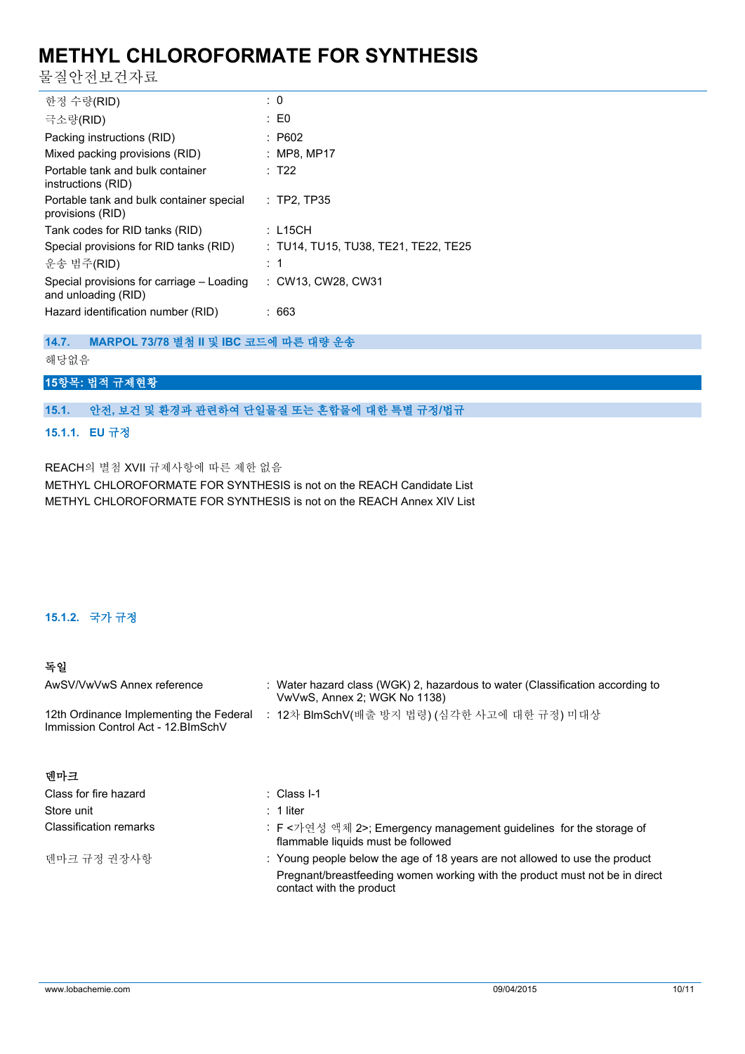물질안전보건자료

| 한정 수량(RID)                                                       | $\therefore$ 0                       |
|------------------------------------------------------------------|--------------------------------------|
| 극소량(RID)                                                         | $\pm 50$                             |
| Packing instructions (RID)                                       | : P602                               |
| Mixed packing provisions (RID)                                   | $:$ MP8, MP17                        |
| Portable tank and bulk container<br>instructions (RID)           | $\cdot$ T22                          |
| Portable tank and bulk container special<br>provisions (RID)     | $:$ TP2, TP35                        |
| Tank codes for RID tanks (RID)                                   | : L15CH                              |
| Special provisions for RID tanks (RID)                           | : TU14, TU15, TU38, TE21, TE22, TE25 |
| 운송 범주(RID)                                                       | : 1                                  |
| Special provisions for carriage – Loading<br>and unloading (RID) | : CW13, CW28, CW31                   |
| Hazard identification number (RID)                               | : 663                                |

**14.7. MARPOL 73/78 별첨 II 및 IBC 코드에 따른 대량 운송** 해당없음

### **15항목: 법적 규제현황**

### **15.1. 안전, 보건 및 환경과 관련하여 단일물질 또는 혼합물에 대한 특별 규정/법규**

#### **15.1.1. EU 규정**

REACH의 별첨 XVII 규제사항에 따른 제한 없음

METHYL CHLOROFORMATE FOR SYNTHESIS is not on the REACH Candidate List METHYL CHLOROFORMATE FOR SYNTHESIS is not on the REACH Annex XIV List

### **15.1.2. 국가 규정**

### **독일**

| AwSV/VwVwS Annex reference                                                     | : Water hazard class (WGK) 2, hazardous to water (Classification according to<br>VwVwS, Annex 2; WGK No 1138) |
|--------------------------------------------------------------------------------|---------------------------------------------------------------------------------------------------------------|
| 12th Ordinance Implementing the Federal<br>Immission Control Act - 12. BlmSchV | : 12차 BlmSchV(배출 방지 법령) (심각한 사고에 대한 규정) 미대상                                                                   |

| Class for fire hazard         | : Class I-1                                                                                              |
|-------------------------------|----------------------------------------------------------------------------------------------------------|
| Store unit                    | $: 1$ liter                                                                                              |
| <b>Classification remarks</b> | : F <가연성 액체 2>; Emergency management guidelines for the storage of<br>flammable liquids must be followed |
| 덴마크 규정 권장사항                   | : Young people below the age of 18 years are not allowed to use the product                              |
|                               | Pregnant/breastfeeding women working with the product must not be in direct<br>contact with the product  |